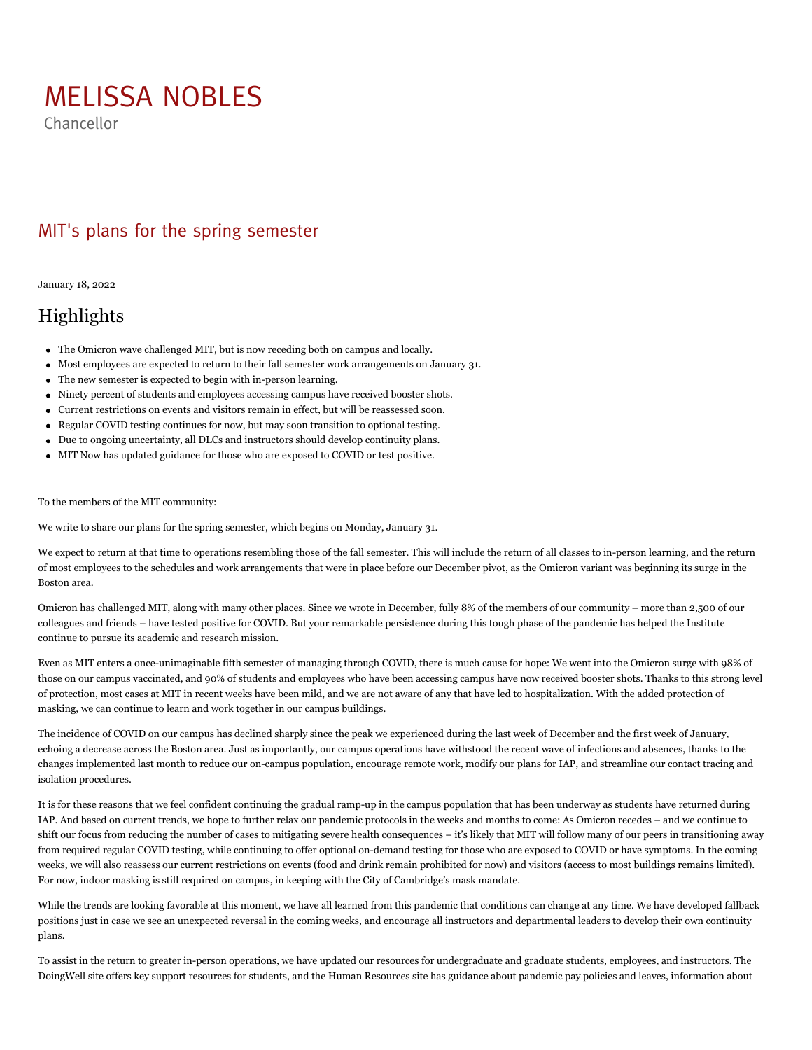## [MELISSA NOBLES](https://orgchart.mit.edu/chancellor)

Chancellor

## MIT's plans for the spring semester

January 18, 2022

## Highlights

- The Omicron wave challenged MIT, but is now receding both on campus and locally.
- Most employees are expected to return to their fall semester work arrangements on January 31.
- The new semester is expected to begin with in-person learning.
- Ninety percent of students and employees accessing campus have received booster shots.
- Current restrictions on events and visitors remain in effect, but will be reassessed soon.
- Regular COVID testing continues for now, but may soon transition to optional testing.
- Due to ongoing uncertainty, all DLCs and instructors should develop continuity plans.
- MIT Now has updated guidance for those who are exposed to COVID or test positive.

To the members of the MIT community:

We write to share our plans for the spring semester, which begins on Monday, January 31.

We expect to return at that time to operations resembling those of the fall semester. This will include the return of all classes to in-person learning, and the return of most employees to the schedules and work arrangements that were in place before our December [pivot](https://orgchart.mit.edu/node/6/letters_to_community/response-omicron-plans-january), as the Omicron variant was beginning its surge in the Boston area.

Omicron has challenged MIT, along with many other places. Since we [wrote](https://orgchart.mit.edu/node/6/letters_to_community/response-omicron-plans-january) in December, fully 8% of the members of our community – more than 2,500 of our colleagues and friends – have tested positive for COVID. But your remarkable persistence during this tough phase of the pandemic has helped the Institute continue to pursue its academic and research mission.

Even as MIT enters a once-unimaginable fifth semester of managing through COVID, there is much cause for hope: We went into the Omicron surge with 98% of those on our campus vaccinated, and 90% of students and employees who have been accessing campus have now received booster shots. Thanks to this strong level of protection, most cases at MIT in recent weeks have been mild, and we are not aware of any that have led to hospitalization. With the added protection of masking, we can continue to learn and work together in our campus buildings.

The [incidence of COVID](https://covidapps.mit.edu/dashboard) on our campus has declined sharply since the peak we experienced during the last week of December and the first week of January, echoing a [decrease](https://www.mwra.com/biobot/biobotdata.htm) across the Boston area. Just as importantly, our campus operations have withstood the recent wave of infections and absences, thanks to the changes implemented last month to reduce our on-campus population, encourage remote work, modify our plans for IAP, and streamline our contact tracing and isolation procedures.

It is for these reasons that we feel confident continuing the gradual ramp-up in the campus population that has been underway as students have returned during IAP. And based on current trends, we hope to further relax our pandemic protocols in the weeks and months to come: As Omicron recedes – and we continue to shift our focus from reducing the number of cases to mitigating severe health consequences – it's likely that MIT will follow many of our peers in transitioning away from required regular COVID testing, while continuing to offer optional on-demand testing for those who are exposed to COVID or have symptoms. In the coming weeks, we will also reassess our current restrictions on [events](https://now.mit.edu/policies/events/) (food and drink remain prohibited for now) and [visitors](https://now.mit.edu/policies/campus-access-and-visitors/) (access to most buildings remains limited). For now, indoor masking is still required on campus, in keeping with the City of Cambridge's [mask mandate](https://www.cambridgema.gov/-/media/Files/citymanagersoffice/COVID19/coccovid19emergordmasks1522.pdf).

While the trends are looking favorable at this moment, we have all learned from this pandemic that conditions can change at any time. We have developed fallback positions just in case we see an unexpected reversal in the coming weeks, and encourage all instructors and departmental leaders to develop their own continuity plans.

To assist in the return to greater in-person operations, we have updated our resources for [undergraduate](https://studentlife.mit.edu/covid19policies) and [graduate](https://studentlife.mit.edu/covid19gradpolicies) students, [employees](https://hr.mit.edu/covid19/vaccination-requirement), and [instructors](https://tll.mit.edu/). The [DoingWell](https://doingwell.mit.edu/support-3/) site offers key support resources for students, and the [Human Resources](https://hr.mit.edu/covid19/vaccination-requirement) site has guidance about pandemic pay policies and leaves, information about